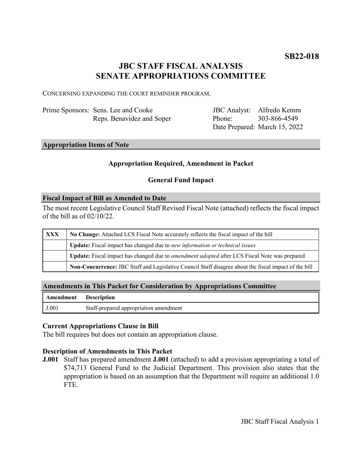# **JBC STAFF FISCAL ANALYSIS SENATE APPROPRIATIONS COMMITTEE**

CONCERNING EXPANDING THE COURT REMINDER PROGRAM.

| Prime Sponsors: Sens. Lee and Cooke |
|-------------------------------------|
| Reps. Benavidez and Soper           |

JBC Analyst: Alfredo Kemm Phone: Date Prepared: March 15, 2022 303-866-4549

### **Appropriation Items of Note**

### **Appropriation Required, Amendment in Packet**

### **General Fund Impact**

#### **Fiscal Impact of Bill as Amended to Date**

The most recent Legislative Council Staff Revised Fiscal Note (attached) reflects the fiscal impact of the bill as of 02/10/22.

| <b>XXX</b> | No Change: Attached LCS Fiscal Note accurately reflects the fiscal impact of the bill                 |  |
|------------|-------------------------------------------------------------------------------------------------------|--|
|            | Update: Fiscal impact has changed due to new information or technical issues                          |  |
|            | Update: Fiscal impact has changed due to <i>amendment adopted</i> after LCS Fiscal Note was prepared  |  |
|            | Non-Concurrence: JBC Staff and Legislative Council Staff disagree about the fiscal impact of the bill |  |

### **Amendments in This Packet for Consideration by Appropriations Committee**

| <b>Amendment</b> Description |                                        |
|------------------------------|----------------------------------------|
| J.001                        | Staff-prepared appropriation amendment |

### **Current Appropriations Clause in Bill**

The bill requires but does not contain an appropriation clause.

### **Description of Amendments in This Packet**

**J.001** Staff has prepared amendment **J.001** (attached) to add a provision appropriating a total of \$74,713 General Fund to the Judicial Department. This provision also states that the appropriation is based on an assumption that the Department will require an additional 1.0 FTE.